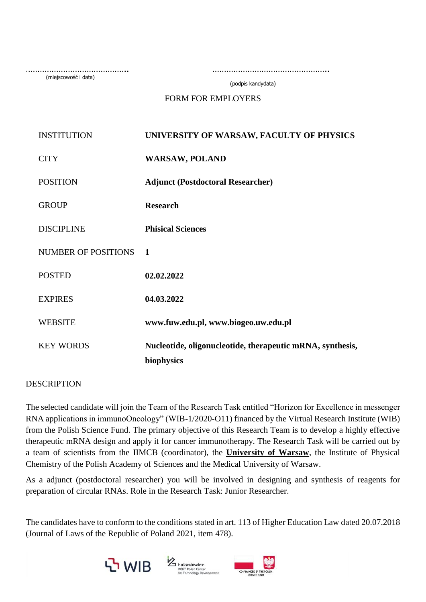(miejscowość i data)

…………………………………….. …………………………………………..

(podpis kandydata)

FORM FOR EMPLOYERS

| <b>INSTITUTION</b>         | UNIVERSITY OF WARSAW, FACULTY OF PHYSICS                                |
|----------------------------|-------------------------------------------------------------------------|
| <b>CITY</b>                | <b>WARSAW, POLAND</b>                                                   |
| <b>POSITION</b>            | <b>Adjunct (Postdoctoral Researcher)</b>                                |
| <b>GROUP</b>               | <b>Research</b>                                                         |
| <b>DISCIPLINE</b>          | <b>Phisical Sciences</b>                                                |
| <b>NUMBER OF POSITIONS</b> | 1                                                                       |
| <b>POSTED</b>              | 02.02.2022                                                              |
| <b>EXPIRES</b>             | 04.03.2022                                                              |
| <b>WEBSITE</b>             | www.fuw.edu.pl, www.biogeo.uw.edu.pl                                    |
| <b>KEY WORDS</b>           | Nucleotide, oligonucleotide, therapeutic mRNA, synthesis,<br>biophysics |

#### **DESCRIPTION**

The selected candidate will join the Team of the Research Task entitled "Horizon for Excellence in messenger RNA applications in immunoOncology" (WIB-1/2020-O11) financed by the Virtual Research Institute (WIB) from the Polish Science Fund. The primary objective of this Research Team is to develop a highly effective therapeutic mRNA design and apply it for cancer immunotherapy. The Research Task will be carried out by a team of scientists from the IIMCB (coordinator), the **University of Warsaw**, the Institute of Physical Chemistry of the Polish Academy of Sciences and the Medical University of Warsaw.

As a adjunct (postdoctoral researcher) you will be involved in designing and synthesis of reagents for preparation of circular RNAs. Role in the Research Task: Junior Researcher.

The candidates have to conform to the conditions stated in art. 113 of Higher Education Law dated 20.07.2018 (Journal of Laws of the Republic of Poland 2021, item 478).





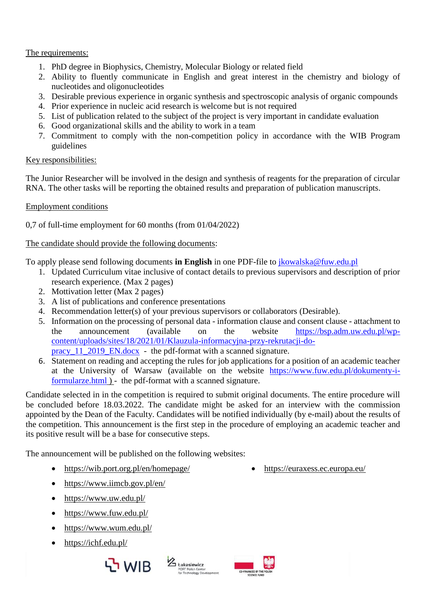## The requirements:

- 1. PhD degree in Biophysics, Chemistry, Molecular Biology or related field
- 2. Ability to fluently communicate in English and great interest in the chemistry and biology of nucleotides and oligonucleotides
- 3. Desirable previous experience in organic synthesis and spectroscopic analysis of organic compounds
- 4. Prior experience in nucleic acid research is welcome but is not required
- 5. List of publication related to the subject of the project is very important in candidate evaluation
- 6. Good organizational skills and the ability to work in a team
- 7. Commitment to comply with the non-competition policy in accordance with the WIB Program guidelines

# Key responsibilities:

The Junior Researcher will be involved in the design and synthesis of reagents for the preparation of circular RNA. The other tasks will be reporting the obtained results and preparation of publication manuscripts.

### Employment conditions

0,7 of full-time employment for 60 months (from 01/04/2022)

### The candidate should provide the following documents:

To apply please send following documents **in English** in one PDF-file to [jkowalska@fuw.edu.pl](mailto:jkowalska@fuw.edu.pl)

- 1. Updated Curriculum vitae inclusive of contact details to previous supervisors and description of prior research experience. (Max 2 pages)
- 2. Mottivation letter (Max 2 pages)
- 3. A list of publications and conference presentations
- 4. Recommendation letter(s) of your previous supervisors or collaborators (Desirable).
- 5. Information on the processing of personal data information clause and consent clause attachment to the announcement (available on the website [https://bsp.adm.uw.edu.pl/wp](https://bsp.adm.uw.edu.pl/wp-content/uploads/sites/18/2021/01/Klauzula-informacyjna-przy-rekrutacji-do-pracy_11_2019_EN.docx)[content/uploads/sites/18/2021/01/Klauzula-informacyjna-przy-rekrutacji-do](https://bsp.adm.uw.edu.pl/wp-content/uploads/sites/18/2021/01/Klauzula-informacyjna-przy-rekrutacji-do-pracy_11_2019_EN.docx)pracy 11\_2019\_EN.docx - the pdf-format with a scanned signature.
- 6. Statement on reading and accepting the rules for job applications for a position of an academic teacher at the University of Warsaw (available on the website [https://www.fuw.edu.pl/dokumenty-i](https://www.fuw.edu.pl/dokumenty-i-formularze.html)[formularze.html](https://www.fuw.edu.pl/dokumenty-i-formularze.html) ) - the pdf-format with a scanned signature.

Candidate selected in in the competition is required to submit original documents. The entire procedure will be concluded before 18.03.2022. The candidate might be asked for an interview with the commission appointed by the Dean of the Faculty. Candidates will be notified individually (by e-mail) about the results of the competition. This announcement is the first step in the procedure of employing an academic teacher and its positive result will be a base for consecutive steps.

The announcement will be published on the following websites:

- <https://wib.port.org.pl/en/homepage/>
- <https://www.iimcb.gov.pl/en/>
- <https://www.uw.edu.pl/>
- https://www.fuw.edu.pl/
- <https://www.wum.edu.pl/>
- <https://ichf.edu.pl/>





<https://euraxess.ec.europa.eu/>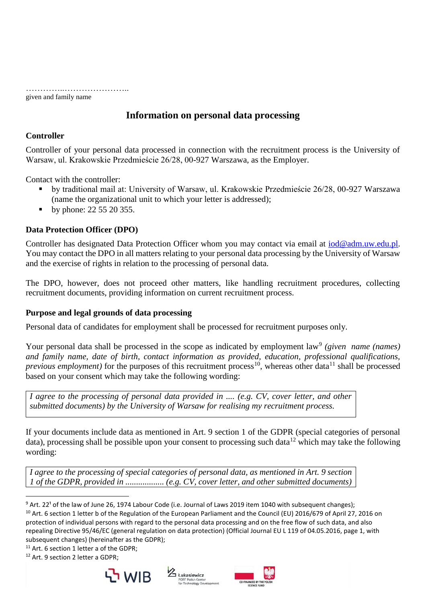…………..………………….. given and family name

# **Information on personal data processing**

### **Controller**

Controller of your personal data processed in connection with the recruitment process is the University of Warsaw, ul. Krakowskie Przedmieście 26/28, 00-927 Warszawa, as the Employer.

Contact with the controller:

- by traditional mail at: University of Warsaw, ul. Krakowskie Przedmieście 26/28, 00-927 Warszawa (name the organizational unit to which your letter is addressed);
- by phone: 22 55 20 355.

### **Data Protection Officer (DPO)**

Controller has designated Data Protection Officer whom you may contact via email at  $i$ od@adm.uw.edu.pl. You may contact the DPO in all matters relating to your personal data processing by the University of Warsaw and the exercise of rights in relation to the processing of personal data.

The DPO, however, does not proceed other matters, like handling recruitment procedures, collecting recruitment documents, providing information on current recruitment process.

### **Purpose and legal grounds of data processing**

Personal data of candidates for employment shall be processed for recruitment purposes only.

Your personal data shall be processed in the scope as indicated by employment law<sup>9</sup> (given name (names) *and family name, date of birth, contact information as provided, education, professional qualifications, previous employment*) for the purposes of this recruitment process<sup>10</sup>, whereas other data<sup>11</sup> shall be processed based on your consent which may take the following wording:

*I agree to the processing of personal data provided in .... (e.g. CV, cover letter, and other submitted documents) by the University of Warsaw for realising my recruitment process.*

If your documents include data as mentioned in Art. 9 section 1 of the GDPR (special categories of personal data), processing shall be possible upon your consent to processing such data<sup>12</sup> which may take the following wording:

*I agree to the processing of special categories of personal data, as mentioned in Art. 9 section 1 of the GDPR, provided in .................. (e.g. CV, cover letter, and other submitted documents)* 

<sup>11</sup> Art. 6 section 1 letter a of the GDPR;

<sup>12</sup> Art. 9 section 2 letter a GDPR;







 $\overline{a}$  $9$  Art. 22<sup>1</sup> of the law of June 26, 1974 Labour Code (i.e. Journal of Laws 2019 item 1040 with subsequent changes); <sup>10</sup> Art. 6 section 1 letter b of the Regulation of the European Parliament and the Council (EU) 2016/679 of April 27, 2016 on protection of individual persons with regard to the personal data processing and on the free flow of such data, and also repealing Directive 95/46/EC (general regulation on data protection) (Official Journal EU L 119 of 04.05.2016, page 1, with subsequent changes) (hereinafter as the GDPR);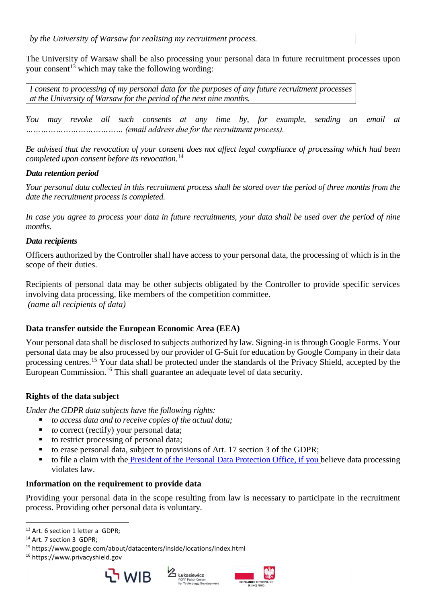*by the University of Warsaw for realising my recruitment process.*

The University of Warsaw shall be also processing your personal data in future recruitment processes upon your consent<sup>13</sup> which may take the following wording:

*I consent to processing of my personal data for the purposes of any future recruitment processes at the University of Warsaw for the period of the next nine months.*

*You may revoke all such consents at any time by, for example, sending an email at ………………………………… (email address due for the recruitment process).*

*Be advised that the revocation of your consent does not affect legal compliance of processing which had been completed upon consent before its revocation.*<sup>14</sup>

### *Data retention period*

*Your personal data collected in this recruitment process shall be stored over the period of three months from the date the recruitment process is completed.*

*In case you agree to process your data in future recruitments, your data shall be used over the period of nine months.*

### *Data recipients*

Officers authorized by the Controller shall have access to your personal data, the processing of which is in the scope of their duties.

Recipients of personal data may be other subjects obligated by the Controller to provide specific services involving data processing, like members of the competition committee. *(name all recipients of data)*

### **Data transfer outside the European Economic Area (EEA)**

Your personal data shall be disclosed to subjects authorized by law. Signing-in is through Google Forms. Your personal data may be also processed by our provider of G-Suit for education by Google Company in their data processing centres.<sup>15</sup> Your data shall be protected under the standards of the Privacy Shield, accepted by the European Commission.<sup>16</sup> This shall guarantee an adequate level of data security.

### **Rights of the data subject**

*Under the GDPR data subjects have the following rights:*

- *to access data and to receive copies of the actual data;*
- *to* correct (rectify) your personal data;
- to restrict processing of personal data;
- to erase personal data, subject to provisions of Art. 17 section 3 of the GDPR;
- to file a claim with the [President of the Personal Data Protection Office, if you b](https://uodo.gov.pl/en/573/935)elieve data processing violates law.

#### **Information on the requirement to provide data**

Providing your personal data in the scope resulting from law is necessary to participate in the recruitment process. Providing other personal data is voluntary.

 $\overline{a}$ 

<sup>16</sup> https://www.privacyshield.gov







<sup>13</sup> Art. 6 section 1 letter a GDPR;

<sup>&</sup>lt;sup>14</sup> Art. 7 section 3 GDPR;

<sup>15</sup> https://www.google.com/about/datacenters/inside/locations/index.html